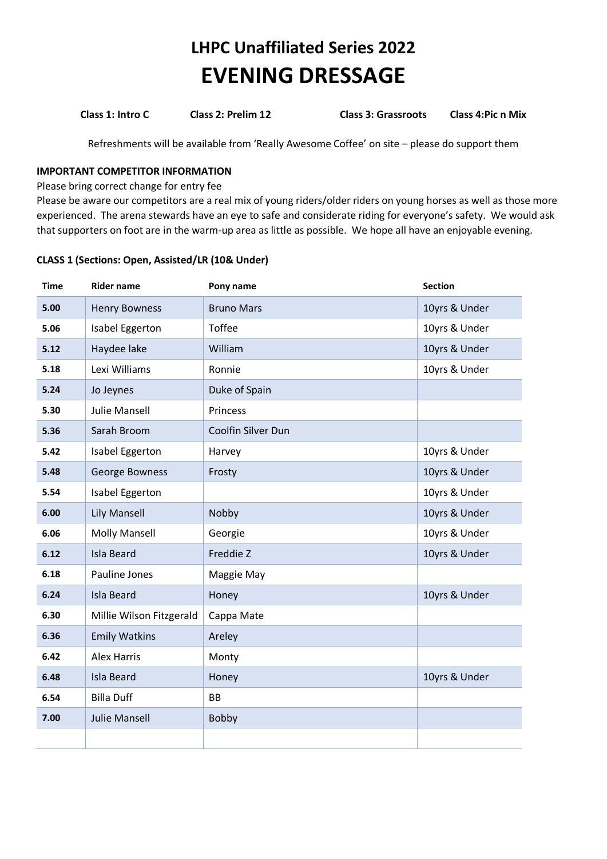## **LHPC Unaffiliated Series 2022 EVENING DRESSAGE**

**Class 1: Intro C Class 2: Prelim 12 Class 3: Grassroots Class 4:Pic n Mix**

Refreshments will be available from 'Really Awesome Coffee' on site – please do support them

#### **IMPORTANT COMPETITOR INFORMATION**

Please bring correct change for entry fee

Please be aware our competitors are a real mix of young riders/older riders on young horses as well as those more experienced. The arena stewards have an eye to safe and considerate riding for everyone's safety. We would ask that supporters on foot are in the warm-up area as little as possible. We hope all have an enjoyable evening.

#### **CLASS 1 (Sections: Open, Assisted/LR (10& Under)**

| <b>Time</b> | <b>Rider name</b>        | Pony name          | <b>Section</b> |
|-------------|--------------------------|--------------------|----------------|
| 5.00        | <b>Henry Bowness</b>     | <b>Bruno Mars</b>  | 10yrs & Under  |
| 5.06        | Isabel Eggerton          | Toffee             | 10yrs & Under  |
| 5.12        | Haydee lake              | William            | 10yrs & Under  |
| 5.18        | Lexi Williams            | Ronnie             | 10yrs & Under  |
| 5.24        | Jo Jeynes                | Duke of Spain      |                |
| 5.30        | <b>Julie Mansell</b>     | Princess           |                |
| 5.36        | Sarah Broom              | Coolfin Silver Dun |                |
| 5.42        | Isabel Eggerton          | Harvey             | 10yrs & Under  |
| 5.48        | <b>George Bowness</b>    | Frosty             | 10yrs & Under  |
| 5.54        | Isabel Eggerton          |                    | 10yrs & Under  |
| 6.00        | <b>Lily Mansell</b>      | Nobby              | 10yrs & Under  |
| 6.06        | <b>Molly Mansell</b>     | Georgie            | 10yrs & Under  |
| 6.12        | <b>Isla Beard</b>        | Freddie Z          | 10yrs & Under  |
| 6.18        | Pauline Jones            | Maggie May         |                |
| 6.24        | <b>Isla Beard</b>        | Honey              | 10yrs & Under  |
| 6.30        | Millie Wilson Fitzgerald | Cappa Mate         |                |
| 6.36        | <b>Emily Watkins</b>     | Areley             |                |
| 6.42        | <b>Alex Harris</b>       | Monty              |                |
| 6.48        | <b>Isla Beard</b>        | Honey              | 10yrs & Under  |
| 6.54        | <b>Billa Duff</b>        | <b>BB</b>          |                |
| 7.00        | <b>Julie Mansell</b>     | Bobby              |                |
|             |                          |                    |                |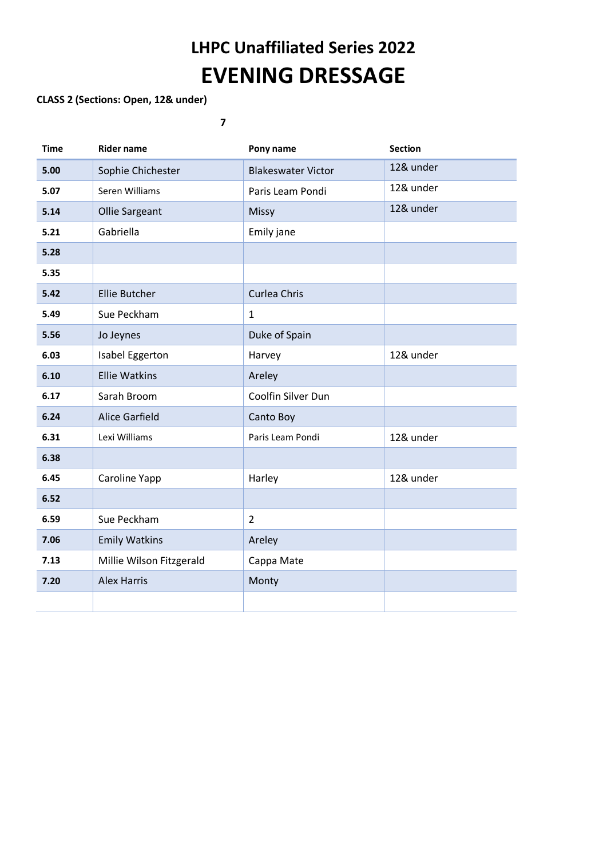# **LHPC Unaffiliated Series 2022 EVENING DRESSAGE**

### **CLASS 2 (Sections: Open, 12& under)**

**7**

| <b>Time</b> | <b>Rider name</b>        | Pony name                 | <b>Section</b> |
|-------------|--------------------------|---------------------------|----------------|
| 5.00        | Sophie Chichester        | <b>Blakeswater Victor</b> | 12& under      |
| 5.07        | Seren Williams           | Paris Leam Pondi          | 12& under      |
| 5.14        | <b>Ollie Sargeant</b>    | Missy                     | 12& under      |
| 5.21        | Gabriella                | Emily jane                |                |
| 5.28        |                          |                           |                |
| 5.35        |                          |                           |                |
| 5.42        | <b>Ellie Butcher</b>     | <b>Curlea Chris</b>       |                |
| 5.49        | Sue Peckham              | $\mathbf{1}$              |                |
| 5.56        | Jo Jeynes                | Duke of Spain             |                |
| 6.03        | Isabel Eggerton          | Harvey                    | 12& under      |
| 6.10        | <b>Ellie Watkins</b>     | Areley                    |                |
| 6.17        | Sarah Broom              | Coolfin Silver Dun        |                |
| 6.24        | <b>Alice Garfield</b>    | Canto Boy                 |                |
| 6.31        | Lexi Williams            | Paris Leam Pondi          | 12& under      |
| 6.38        |                          |                           |                |
| 6.45        | Caroline Yapp            | Harley                    | 12& under      |
| 6.52        |                          |                           |                |
| 6.59        | Sue Peckham              | $\overline{2}$            |                |
| 7.06        | <b>Emily Watkins</b>     | Areley                    |                |
| 7.13        | Millie Wilson Fitzgerald | Cappa Mate                |                |
| 7.20        | <b>Alex Harris</b>       | Monty                     |                |
|             |                          |                           |                |